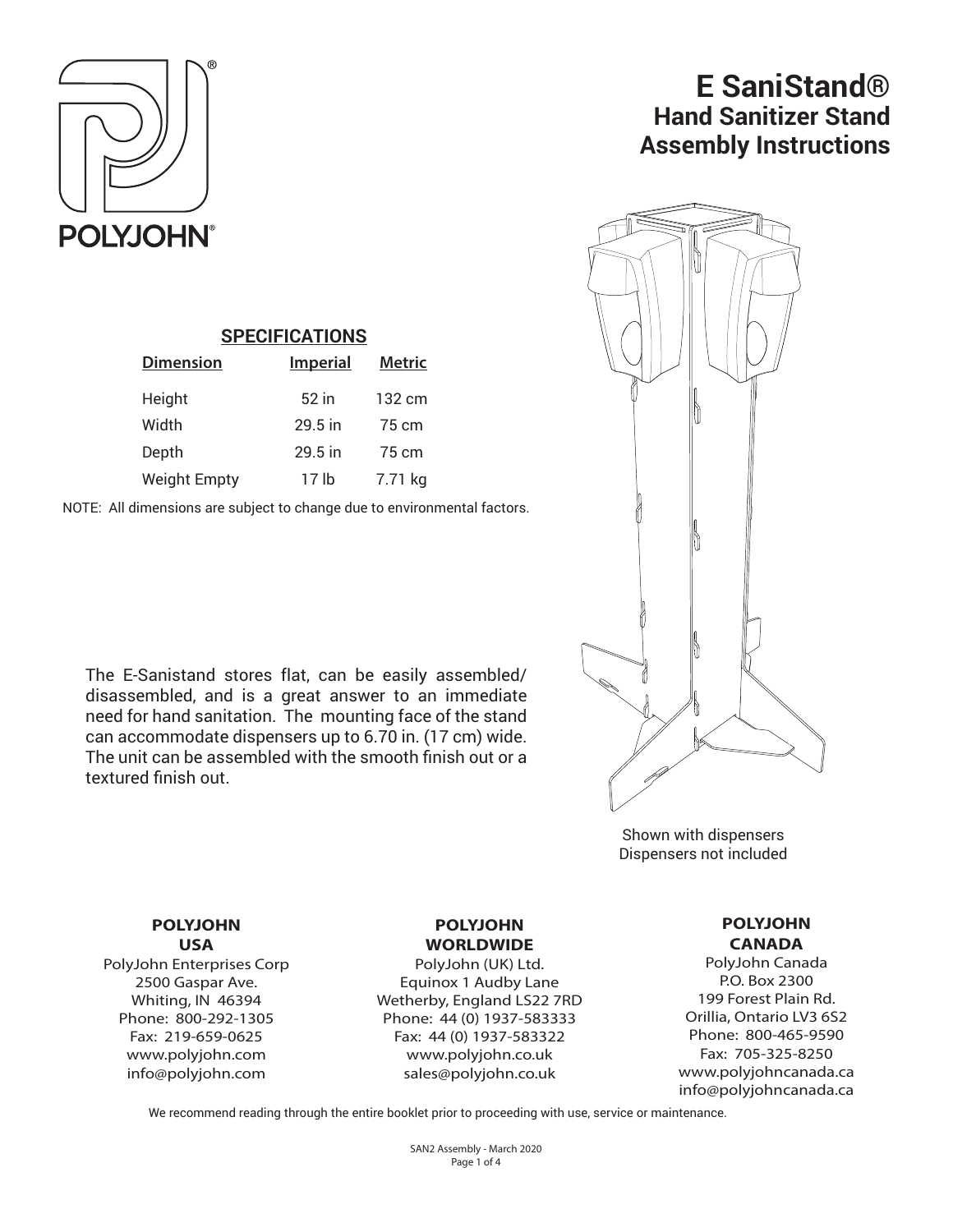

# **E SaniStand® Hand Sanitizer Stand Assembly Instructions**



Shown with dispensers Dispensers not included

# **SPECIFICATIONS**

| <b>Dimension</b>    | <b>Imperial</b> | <b>Metric</b> |
|---------------------|-----------------|---------------|
| Height              | 52 in           | 132 cm        |
| Width               | $29.5$ in       | 75 cm         |
| Depth               | $29.5$ in       | 75 cm         |
| <b>Weight Empty</b> | 17 lb           | 7.71 kg       |

NOTE: All dimensions are subject to change due to environmental factors.

The E-Sanistand stores flat, can be easily assembled/ disassembled, and is a great answer to an immediate need for hand sanitation. The mounting face of the stand can accommodate dispensers up to 6.70 in. (17 cm) wide. The unit can be assembled with the smooth finish out or a textured finish out.

> **POLYJOHN USA**

PolyJohn Enterprises Corp 2500 Gaspar Ave. Whiting, IN 46394 Phone: 800-292-1305 Fax: 219-659-0625 www.polyjohn.com info@polyjohn.com

### **POLYJOHN WORLDWIDE**

PolyJohn (UK) Ltd. Equinox 1 Audby Lane Wetherby, England LS22 7RD Phone: 44 (0) 1937-583333 Fax: 44 (0) 1937-583322 www.polyjohn.co.uk sales@polyjohn.co.uk

#### **POLYJOHN CANADA**

PolyJohn Canada P.O. Box 2300 199 Forest Plain Rd. Orillia, Ontario LV3 6S2 Phone: 800-465-9590 Fax: 705-325-8250 www.polyjohncanada.ca info@polyjohncanada.ca

We recommend reading through the entire booklet prior to proceeding with use, service or maintenance.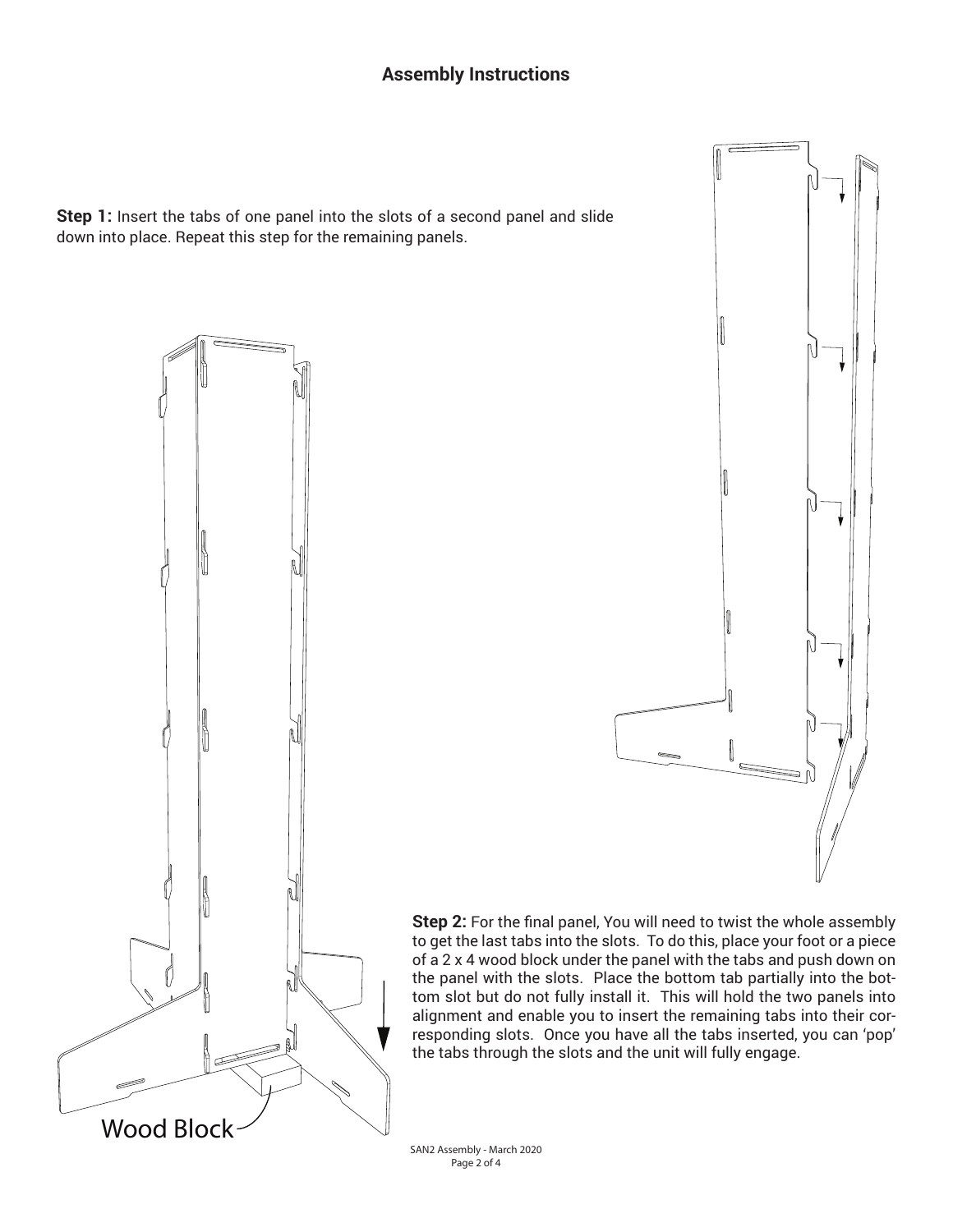## **Assembly Instructions**

**Step 1:** Insert the tabs of one panel into the slots of a second panel and slide down into place. Repeat this step for the remaining panels.





**Step 2:** For the final panel, You will need to twist the whole assembly to get the last tabs into the slots. To do this, place your foot or a piece of a 2 x 4 wood block under the panel with the tabs and push down on the panel with the slots. Place the bottom tab partially into the bottom slot but do not fully install it. This will hold the two panels into alignment and enable you to insert the remaining tabs into their corresponding slots. Once you have all the tabs inserted, you can 'pop' the tabs through the slots and the unit will fully engage.

SAN2 Assembly - March 2020 Page 2 of 4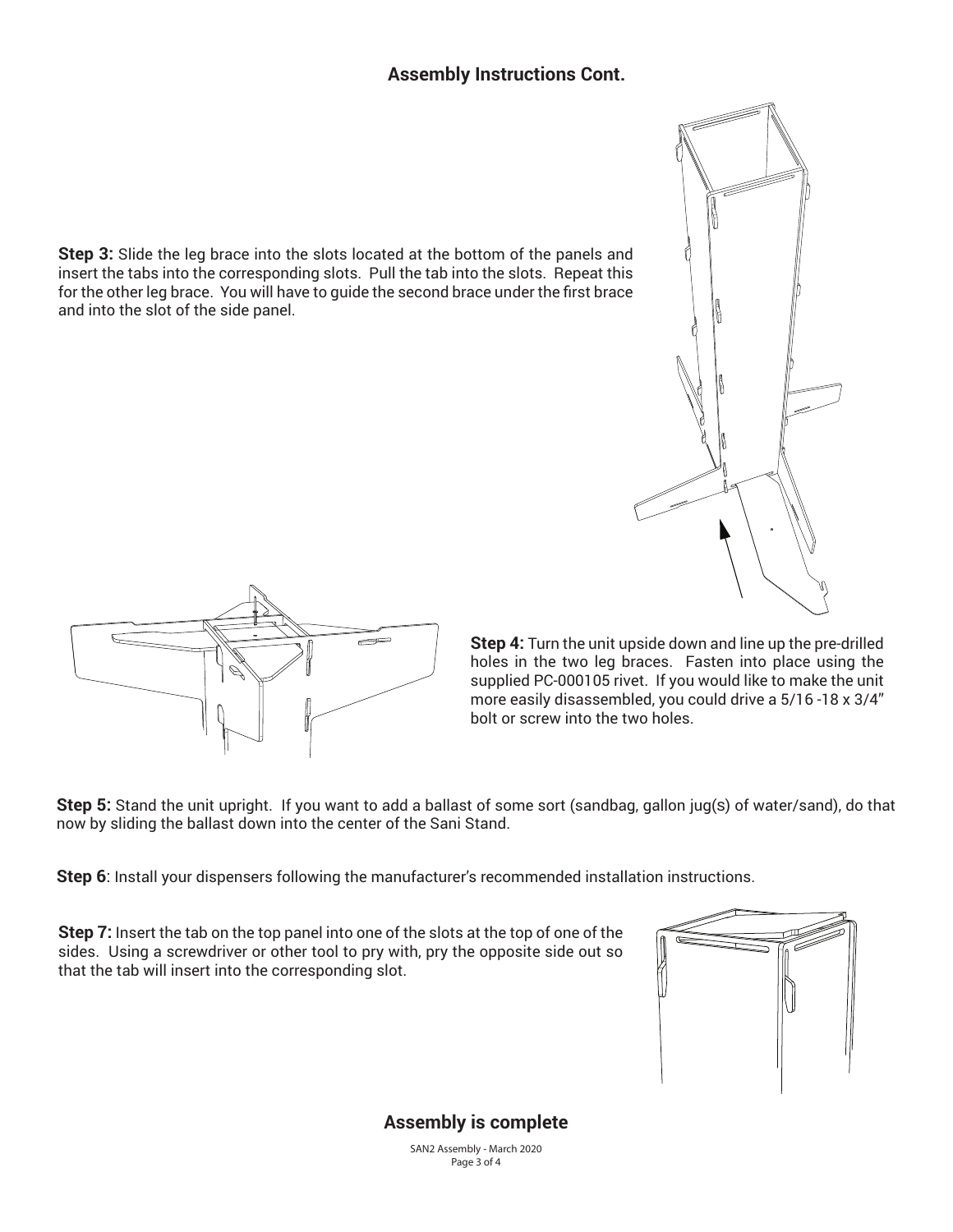### **Assembly Instructions Cont.**

**Step 3:** Slide the leg brace into the slots located at the bottom of the panels and insert the tabs into the corresponding slots. Pull the tab into the slots. Repeat this for the other leg brace. You will have to quide the second brace under the first brace and into the slot of the side panel.





**Step 4:** Turn the unit upside down and line up the pre-drilled holes in the two leg braces. Fasten into place using the supplied PC-000105 rivet. If you would like to make the unit more easily disassembled, you could drive a 5/16 -18 x 3/4" bolt or screw into the two holes.

**Step 5:** Stand the unit upright. If you want to add a ballast of some sort (sandbag, gallon jug(S) of water/sand), do that now by sliding the ballast down into the center of the Sani Stand.

**Step 6**: Install your dispensers following the manufacturer's recommended installation instructions.

**Step 7:** Insert the tab on the top panel into one of the slots at the top of one of the sides. Using a screwdriver or other tool to pry with, pry the opposite side out so that the tab will insert into the corresponding slot.



# **Assembly is complete**

SAN2 Assembly - March 2020 Page 3 of 4